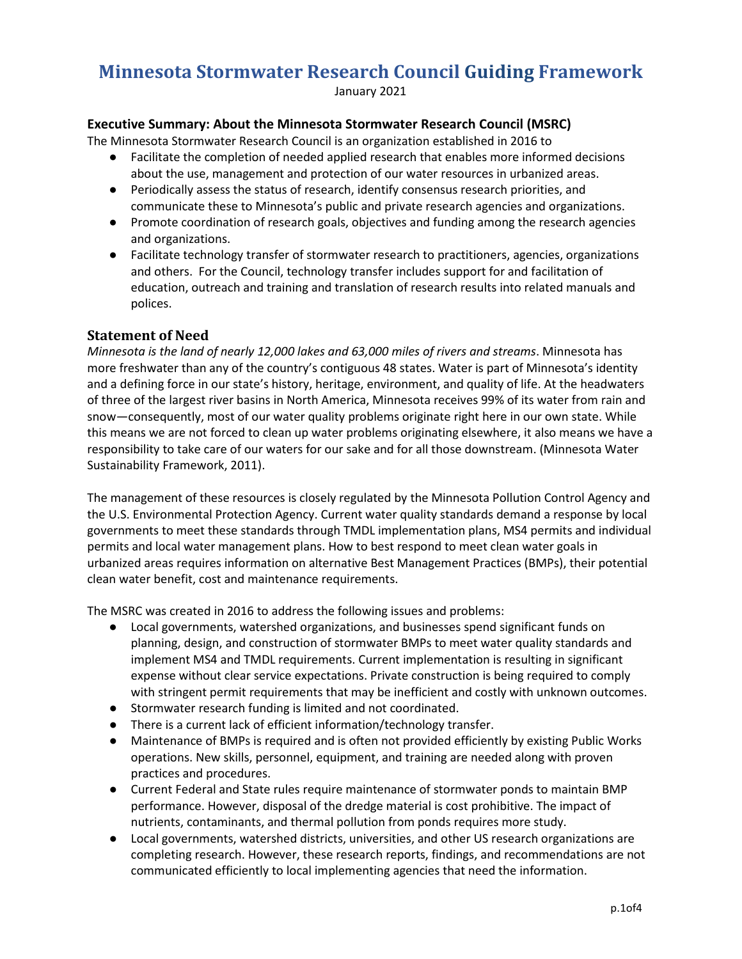# **Minnesota Stormwater Research Council Guiding Framework**

January 2021

## **Executive Summary: About the Minnesota Stormwater Research Council (MSRC)**

The Minnesota Stormwater Research Council is an organization established in 2016 to

- Facilitate the completion of needed applied research that enables more informed decisions about the use, management and protection of our water resources in urbanized areas.
- Periodically assess the status of research, identify consensus research priorities, and communicate these to Minnesota's public and private research agencies and organizations.
- Promote coordination of research goals, objectives and funding among the research agencies and organizations.
- Facilitate technology transfer of stormwater research to practitioners, agencies, organizations and others. For the Council, technology transfer includes support for and facilitation of education, outreach and training and translation of research results into related manuals and polices.

## **Statement of Need**

*Minnesota is the land of nearly 12,000 lakes and 63,000 miles of rivers and streams*. Minnesota has more freshwater than any of the country's contiguous 48 states. Water is part of Minnesota's identity and a defining force in our state's history, heritage, environment, and quality of life. At the headwaters of three of the largest river basins in North America, Minnesota receives 99% of its water from rain and snow—consequently, most of our water quality problems originate right here in our own state. While this means we are not forced to clean up water problems originating elsewhere, it also means we have a responsibility to take care of our waters for our sake and for all those downstream. (Minnesota Water Sustainability Framework, 2011).

The management of these resources is closely regulated by the Minnesota Pollution Control Agency and the U.S. Environmental Protection Agency. Current water quality standards demand a response by local governments to meet these standards through TMDL implementation plans, MS4 permits and individual permits and local water management plans. How to best respond to meet clean water goals in urbanized areas requires information on alternative Best Management Practices (BMPs), their potential clean water benefit, cost and maintenance requirements.

The MSRC was created in 2016 to address the following issues and problems:

- Local governments, watershed organizations, and businesses spend significant funds on planning, design, and construction of stormwater BMPs to meet water quality standards and implement MS4 and TMDL requirements. Current implementation is resulting in significant expense without clear service expectations. Private construction is being required to comply with stringent permit requirements that may be inefficient and costly with unknown outcomes.
- Stormwater research funding is limited and not coordinated.
- There is a current lack of efficient information/technology transfer.
- Maintenance of BMPs is required and is often not provided efficiently by existing Public Works operations. New skills, personnel, equipment, and training are needed along with proven practices and procedures.
- Current Federal and State rules require maintenance of stormwater ponds to maintain BMP performance. However, disposal of the dredge material is cost prohibitive. The impact of nutrients, contaminants, and thermal pollution from ponds requires more study.
- Local governments, watershed districts, universities, and other US research organizations are completing research. However, these research reports, findings, and recommendations are not communicated efficiently to local implementing agencies that need the information.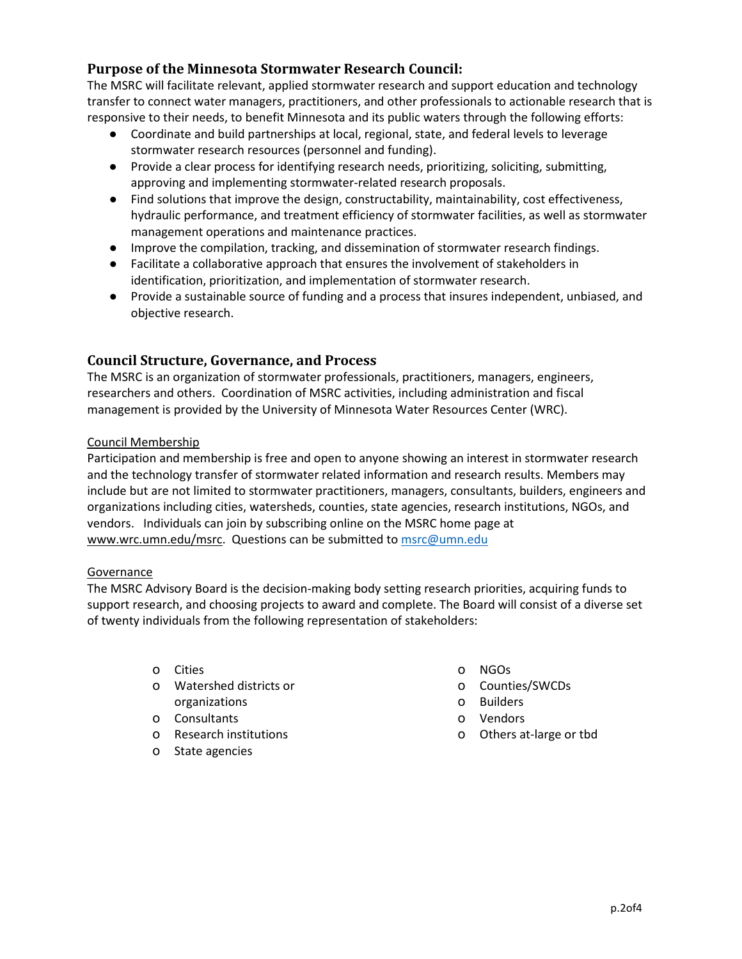# **Purpose of the Minnesota Stormwater Research Council:**

The MSRC will facilitate relevant, applied stormwater research and support education and technology transfer to connect water managers, practitioners, and other professionals to actionable research that is responsive to their needs, to benefit Minnesota and its public waters through the following efforts:

- Coordinate and build partnerships at local, regional, state, and federal levels to leverage stormwater research resources (personnel and funding).
- Provide a clear process for identifying research needs, prioritizing, soliciting, submitting, approving and implementing stormwater-related research proposals.
- Find solutions that improve the design, constructability, maintainability, cost effectiveness, hydraulic performance, and treatment efficiency of stormwater facilities, as well as stormwater management operations and maintenance practices.
- Improve the compilation, tracking, and dissemination of stormwater research findings.
- Facilitate a collaborative approach that ensures the involvement of stakeholders in identification, prioritization, and implementation of stormwater research.
- Provide a sustainable source of funding and a process that insures independent, unbiased, and objective research.

# **Council Structure, Governance, and Process**

The MSRC is an organization of stormwater professionals, practitioners, managers, engineers, researchers and others. Coordination of MSRC activities, including administration and fiscal management is provided by the University of Minnesota Water Resources Center (WRC).

#### Council Membership

Participation and membership is free and open to anyone showing an interest in stormwater research and the technology transfer of stormwater related information and research results. Members may include but are not limited to stormwater practitioners, managers, consultants, builders, engineers and organizations including cities, watersheds, counties, state agencies, research institutions, NGOs, and vendors. Individuals can join by subscribing online on the MSRC home page at [www.wrc.umn.edu/msrc.](https://www.wrc.umn.edu/msrc) Questions can be submitted to [msrc@umn.edu](mailto:msrc@umn.edu)

#### Governance

The MSRC Advisory Board is the decision-making body setting research priorities, acquiring funds to support research, and choosing projects to award and complete. The Board will consist of a diverse set of twenty individuals from the following representation of stakeholders:

- o Cities
- o Watershed districts or organizations
- o Consultants
- o Research institutions
- o State agencies
- o NGOs
- o Counties/SWCDs
- o Builders
- o Vendors
- o Others at-large or tbd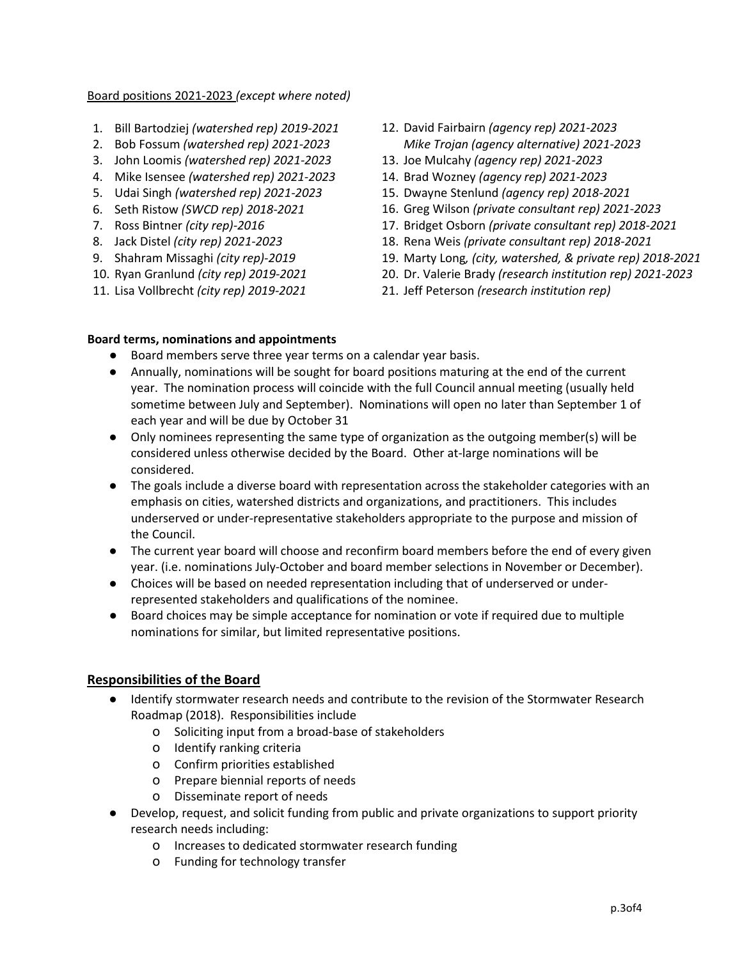#### Board positions 2021-2023 *(except where noted)*

- 1. Bill Bartodziej *(watershed rep) 2019-2021*
- 2. Bob Fossum *(watershed rep) 2021-2023*
- 3. John Loomis *(watershed rep) 2021-2023*
- 4. Mike Isensee *(watershed rep) 2021-2023*
- 5. Udai Singh *(watershed rep) 2021-2023*
- 6. Seth Ristow *(SWCD rep) 2018-2021*
- 7. Ross Bintner *(city rep)-2016*
- 8. Jack Distel *(city rep) 2021-2023*
- 9. Shahram Missaghi *(city rep)-2019*
- 10. Ryan Granlund *(city rep) 2019-2021*
- 11. Lisa Vollbrecht *(city rep) 2019-2021*
- 12. David Fairbairn *(agency rep) 2021-2023 Mike Trojan (agency alternative) 2021-2023*
- 13. Joe Mulcahy *(agency rep) 2021-2023*
- 14. Brad Wozney *(agency rep) 2021-2023*
- 15. Dwayne Stenlund *(agency rep) 2018-2021*
- 16. Greg Wilson *(private consultant rep) 2021-2023*
- 17. Bridget Osborn *(private consultant rep) 2018-2021*
- 18. Rena Weis *(private consultant rep) 2018-2021*
- 19. Marty Long*, (city, watershed, & private rep) 2018-2021*
- 20. Dr. Valerie Brady *(research institution rep) 2021-2023*
- 21. Jeff Peterson *(research institution rep)*

#### **Board terms, nominations and appointments**

- Board members serve three year terms on a calendar year basis.
- Annually, nominations will be sought for board positions maturing at the end of the current year. The nomination process will coincide with the full Council annual meeting (usually held sometime between July and September). Nominations will open no later than September 1 of each year and will be due by October 31
- Only nominees representing the same type of organization as the outgoing member(s) will be considered unless otherwise decided by the Board. Other at-large nominations will be considered.
- The goals include a diverse board with representation across the stakeholder categories with an emphasis on cities, watershed districts and organizations, and practitioners. This includes underserved or under-representative stakeholders appropriate to the purpose and mission of the Council.
- The current year board will choose and reconfirm board members before the end of every given year. (i.e. nominations July-October and board member selections in November or December).
- Choices will be based on needed representation including that of underserved or underrepresented stakeholders and qualifications of the nominee.
- Board choices may be simple acceptance for nomination or vote if required due to multiple nominations for similar, but limited representative positions.

# **Responsibilities of the Board**

- Identify stormwater research needs and contribute to the revision of the Stormwater Research Roadmap (2018). Responsibilities include
	- o Soliciting input from a broad-base of stakeholders
	- o Identify ranking criteria
	- o Confirm priorities established
	- o Prepare biennial reports of needs
	- o Disseminate report of needs
- Develop, request, and solicit funding from public and private organizations to support priority research needs including:
	- o Increases to dedicated stormwater research funding
	- o Funding for technology transfer